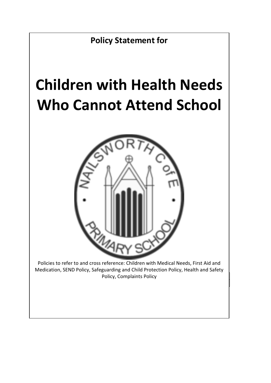

# **Children with Health Needs Who Cannot Attend School**



**Complaints Policy, Complaints Policy** Policies to refer to and cross reference: Children with Medical Needs, First Aid and Medication, SEND Policy, Safeguarding and Child Protection Policy, Health and Safety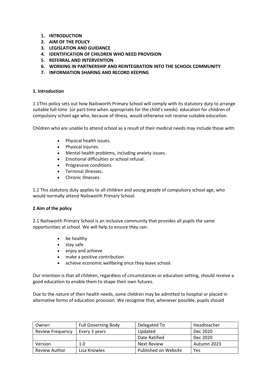- **1. INTRODUCTION**
- **2. AIM OF THE POLICY**
- **3. LEGISLATION AND GUIDANCE**
- **4. IDENTIFICATION OF CHILDREN WHO NEED PROVISION**
- **5. REFERRAL AND INTERVENTION**
- **6. WORKING IN PARTNERSHIP AND REINTEGRATION INTO THE SCHOOL COMMUNITY**
- **7. INFORMATION SHARING AND RECORD KEEPING**

#### **1. Introduction**

1.1This policy sets out how Nailsworth Primary School will comply with its statutory duty to arrange suitable full-time (or part-time when appropriate for the child's needs) education for children of compulsory school age who, because of illness, would otherwise not receive suitable education.

Children who are unable to attend school as a result of their medical needs may include those with:

- Physical health issues.
- Physical injuries.
- Mental health problems, including anxiety issues.
- Emotional difficulties or school refusal.
- Progressive conditions.
- Terminal illnesses.
- Chronic illnesses.

1.2 This statutory duty applies to all children and young people of compulsory school age, who would normally attend Nailsworth Primary School.

#### **2 Aim of the policy**

2.1 Nailsworth Primary School is an inclusive community that provides all pupils the same opportunities at school. We will help to ensure they can:

- be healthy
- stay safe
- enjoy and achieve
- make a positive contribution
- achieve economic wellbeing once they leave school.

Our intention is that all children, regardless of circumstances or education setting, should receive a good education to enable them to shape their own futures.

Due to the nature of their health needs, some children may be admitted to hospital or placed in alternative forms of education provision. We recognise that, whenever possible, pupils should

| Owner:                  | <b>Full Governing Body</b> | Delegated To         | Headteacher |
|-------------------------|----------------------------|----------------------|-------------|
| <b>Review Frequency</b> | Every 3 years              | Updated              | Dec 2020    |
|                         |                            | Date Ratified        | Dec 2020    |
| Version                 | 1.0                        | Next Review          | Autumn 2023 |
| Review Author           | Lisa Knowles               | Published on Website | Yes         |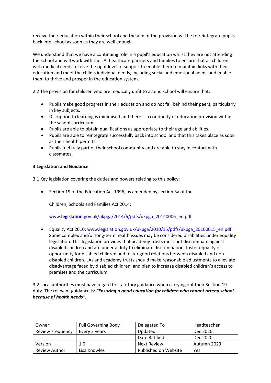receive their education within their school and the aim of the provision will be to reintegrate pupils back into school as soon as they are well enough.

We understand that we have a continuing role in a pupil's education whilst they are not attending the school and will work with the LA, healthcare partners and families to ensure that all children with medical needs receive the right level of support to enable them to maintain links with their education and meet the child's individual needs, including social and emotional needs and enable them to thrive and prosper in the education system.

2.2 The provision for children who are medically unfit to attend school will ensure that:

- Pupils make good progress in their education and do not fall behind their peers, particularly in key subjects.
- Disruption to learning is minimised and there is a continuity of education provision within the school curriculum.
- Pupils are able to obtain qualifications as appropriate to their age and abilities.
- Pupils are able to reintegrate successfully back into school and that this takes place as soon as their health permits.
- Pupils feel fully part of their school community and are able to stay in contact with classmates.

### **3 Legislation and Guidance**

3.1 Key legislation covering the duties and powers relating to this policy:

• Section 19 of the Education Act 1996, as amended by section 3a of the

Children, Schools and Families Act 2014;

www.**legislation**.gov.uk/ukpga/2014/6/pdfs/ukpga\_20140006\_en.pdf

• Equality Act 2010: www.legislation.gov.uk/ukpga/2010/15/pdfs/ukpga\_20100015\_en.pdf Some complex and/or long-term health issues may be considered disabilities under equality legislation. This legislation provides that academy trusts must not discriminate against disabled children and are under a duty to eliminate discrimination, foster equality of opportunity for disabled children and foster good relations between disabled and nondisabled children. LAs and academy trusts should make reasonable adjustments to alleviate disadvantage faced by disabled children, and plan to increase disabled children's access to premises and the curriculum.

3.2 Local authorities must have regard to statutory guidance when carrying out their Section 19 duty. The relevant guidance is: *"Ensuring a good education for children who cannot attend school because of health needs":* 

| Owner:                  | <b>Full Governing Body</b> | Delegated To         | Headteacher |
|-------------------------|----------------------------|----------------------|-------------|
| <b>Review Frequency</b> | Every 3 years              | Updated              | Dec 2020    |
|                         |                            | Date Ratified        | Dec 2020    |
| Version                 | 1.0                        | Next Review          | Autumn 2023 |
| Review Author           | Lisa Knowles               | Published on Website | Yes         |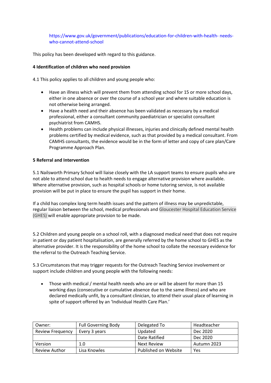https://www.gov.uk/government/publications/education-for-children-with-health- needswho-cannot-attend-school

This policy has been developed with regard to this guidance.

#### **4 Identification of children who need provision**

4.1 This policy applies to all children and young people who:

- Have an illness which will prevent them from attending school for 15 or more school days, either in one absence or over the course of a school year and where suitable education is not otherwise being arranged.
- Have a health need and their absence has been validated as necessary by a medical professional, either a consultant community paediatrician or specialist consultant psychiatrist from CAMHS.
- Health problems can include physical illnesses, injuries and clinically defined mental health problems certified by medical evidence, such as that provided by a medical consultant. From CAMHS consultants, the evidence would be in the form of letter and copy of care plan/Care Programme Approach Plan.

#### **5 Referral and Intervention**

5.1 Nailsworth Primary School will liaise closely with the LA support teams to ensure pupils who are not able to attend school due to health needs to engage alternative provision where available. Where alternative provision, such as hospital schools or home tutoring service, is not available provision will be put in place to ensure the pupil has support in their home.

If a child has complex long term health issues and the pattern of illness may be unpredictable, regular liaison between the school, medical professionals and Gloucester Hospital Education Service (GHES) will enable appropriate provision to be made.

5.2 Children and young people on a school roll, with a diagnosed medical need that does not require in patient or day patient hospitalisation, are generally referred by the home school to GHES as the alternative provider. It is the responsibility of the home school to collate the necessary evidence for the referral to the Outreach Teaching Service.

5.3 Circumstances that may trigger requests for the Outreach Teaching Service involvement or support include children and young people with the following needs:

• Those with medical / mental health needs who are or will be absent for more than 15 working days (consecutive or cumulative absence due to the same illness) and who are declared medically unfit, by a consultant clinician, to attend their usual place of learning in spite of support offered by an 'Individual Health Care Plan.'

| Owner:                  | <b>Full Governing Body</b> | Delegated To         | Headteacher |
|-------------------------|----------------------------|----------------------|-------------|
| <b>Review Frequency</b> | Every 3 years              | Updated              | Dec 2020    |
|                         |                            | Date Ratified        | Dec 2020    |
| Version                 | 1.0                        | Next Review          | Autumn 2023 |
| <b>Review Author</b>    | Lisa Knowles               | Published on Website | Yes         |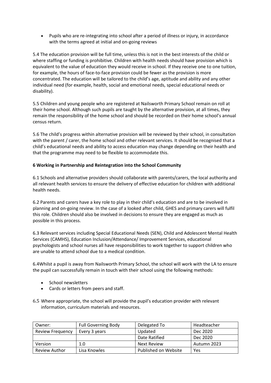• Pupils who are re-integrating into school after a period of illness or injury, in accordance with the terms agreed at initial and on-going reviews

5.4 The education provision will be full time, unless this is not in the best interests of the child or where staffing or funding is prohibitive. Children with health needs should have provision which is equivalent to the value of education they would receive in school. If they receive one to one tuition, for example, the hours of face-to-face provision could be fewer as the provision is more concentrated. The education will be tailored to the child's age, aptitude and ability and any other individual need (for example, health, social and emotional needs, special educational needs or disability).

5.5 Children and young people who are registered at Nailsworth Primary School remain on roll at their home school. Although such pupils are taught by the alternative provision, at all times, they remain the responsibility of the home school and should be recorded on their home school's annual census return.

5.6 The child's progress within alternative provision will be reviewed by their school, in consultation with the parent / carer, the home school and other relevant services. It should be recognised that a child's educational needs and ability to access education may change depending on their health and that the programme may need to be flexible to accommodate this.

## **6 Working in Partnership and Reintegration into the School Community**

6.1 Schools and alternative providers should collaborate with parents/carers, the local authority and all relevant health services to ensure the delivery of effective education for children with additional health needs.

6.2 Parents and carers have a key role to play in their child's education and are to be involved in planning and on-going review. In the case of a looked after child, GHES and primary carers will fulfil this role. Children should also be involved in decisions to ensure they are engaged as much as possible in this process.

6.3 Relevant services including Special Educational Needs (SEN), Child and Adolescent Mental Health Services (CAMHS), Education Inclusion/Attendance/ Improvement Services, educational psychologists and school nurses all have responsibilities to work together to support children who are unable to attend school due to a medical condition.

6.4Whilst a pupil is away from Nailsworth Primary School, the school will work with the LA to ensure the pupil can successfully remain in touch with their school using the following methods:

- School newsletters
- Cards or letters from peers and staff.
- 6.5 Where appropriate, the school will provide the pupil's education provider with relevant information, curriculum materials and resources.

| Owner:                  | <b>Full Governing Body</b> | Delegated To         | Headteacher |
|-------------------------|----------------------------|----------------------|-------------|
| <b>Review Frequency</b> | Every 3 years              | Updated              | Dec 2020    |
|                         |                            | Date Ratified        | Dec 2020    |
| Version                 | 1.0                        | Next Review          | Autumn 2023 |
| <b>Review Author</b>    | Lisa Knowles               | Published on Website | Yes         |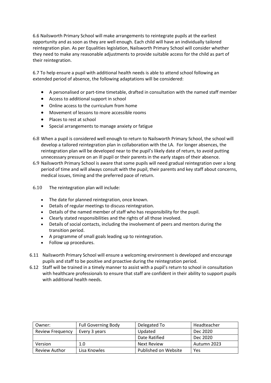6.6 Nailsworth Primary School will make arrangements to reintegrate pupils at the earliest opportunity and as soon as they are well enough. Each child will have an individually tailored reintegration plan. As per Equalities legislation, Nailsworth Primary School will consider whether they need to make any reasonable adjustments to provide suitable access for the child as part of their reintegration.

6.7 To help ensure a pupil with additional health needs is able to attend school following an extended period of absence, the following adaptations will be considered:

- A personalised or part-time timetable, drafted in consultation with the named staff member
- Access to additional support in school
- Online access to the curriculum from home
- Movement of lessons to more accessible rooms
- Places to rest at school
- Special arrangements to manage anxiety or fatigue
- 6.8 When a pupil is considered well enough to return to Nailsworth Primary School, the school will develop a tailored reintegration plan in collaboration with the LA. For longer absences, the reintegration plan will be developed near to the pupil's likely date of return, to avoid putting unnecessary pressure on an ill pupil or their parents in the early stages of their absence.
- 6.9 Nailsworth Primary School is aware that some pupils will need gradual reintegration over a long period of time and will always consult with the pupil, their parents and key staff about concerns, medical issues, timing and the preferred pace of return.
- 6.10 The reintegration plan will include:
	- The date for planned reintegration, once known.
	- Details of regular meetings to discuss reintegration.
	- Details of the named member of staff who has responsibility for the pupil.
	- Clearly stated responsibilities and the rights of all those involved.
	- Details of social contacts, including the involvement of peers and mentors during the transition period.
	- A programme of small goals leading up to reintegration.
	- Follow up procedures.
- 6.11 Nailsworth Primary School will ensure a welcoming environment is developed and encourage pupils and staff to be positive and proactive during the reintegration period.
- 6.12 Staff will be trained in a timely manner to assist with a pupil's return to school in consultation with healthcare professionals to ensure that staff are confident in their ability to support pupils with additional health needs.

| Owner:                  | <b>Full Governing Body</b> | Delegated To         | Headteacher |
|-------------------------|----------------------------|----------------------|-------------|
| <b>Review Frequency</b> | Every 3 years              | Updated              | Dec 2020    |
|                         |                            | Date Ratified        | Dec 2020    |
| Version                 | 1.0                        | Next Review          | Autumn 2023 |
| <b>Review Author</b>    | Lisa Knowles               | Published on Website | Yes         |